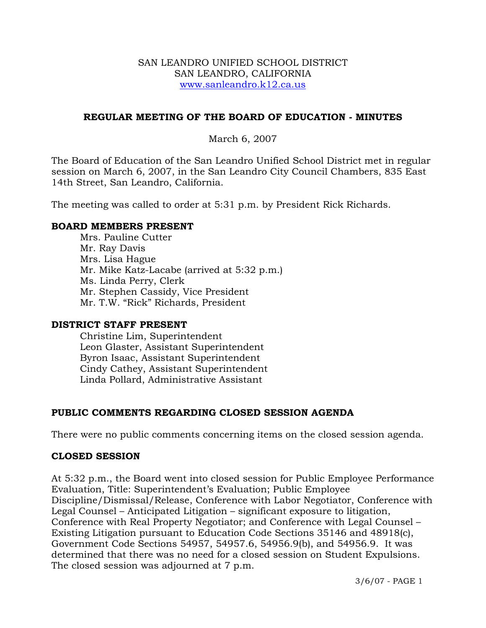#### SAN LEANDRO UNIFIED SCHOOL DISTRICT SAN LEANDRO, CALIFORNIA www.sanleandro.k12.ca.us

### **REGULAR MEETING OF THE BOARD OF EDUCATION - MINUTES**

#### March 6, 2007

The Board of Education of the San Leandro Unified School District met in regular session on March 6, 2007, in the San Leandro City Council Chambers, 835 East 14th Street, San Leandro, California.

The meeting was called to order at 5:31 p.m. by President Rick Richards.

#### **BOARD MEMBERS PRESENT**

Mrs. Pauline Cutter Mr. Ray Davis Mrs. Lisa Hague Mr. Mike Katz-Lacabe (arrived at 5:32 p.m.) Ms. Linda Perry, Clerk Mr. Stephen Cassidy, Vice President Mr. T.W. "Rick" Richards, President

#### **DISTRICT STAFF PRESENT**

Christine Lim, Superintendent Leon Glaster, Assistant Superintendent Byron Isaac, Assistant Superintendent Cindy Cathey, Assistant Superintendent Linda Pollard, Administrative Assistant

# **PUBLIC COMMENTS REGARDING CLOSED SESSION AGENDA**

There were no public comments concerning items on the closed session agenda.

#### **CLOSED SESSION**

At 5:32 p.m., the Board went into closed session for Public Employee Performance Evaluation, Title: Superintendent's Evaluation; Public Employee Discipline/Dismissal/Release, Conference with Labor Negotiator, Conference with Legal Counsel – Anticipated Litigation – significant exposure to litigation, Conference with Real Property Negotiator; and Conference with Legal Counsel – Existing Litigation pursuant to Education Code Sections 35146 and 48918(c), Government Code Sections 54957, 54957.6, 54956.9(b), and 54956.9. It was determined that there was no need for a closed session on Student Expulsions. The closed session was adjourned at 7 p.m.

3/6/07 - PAGE 1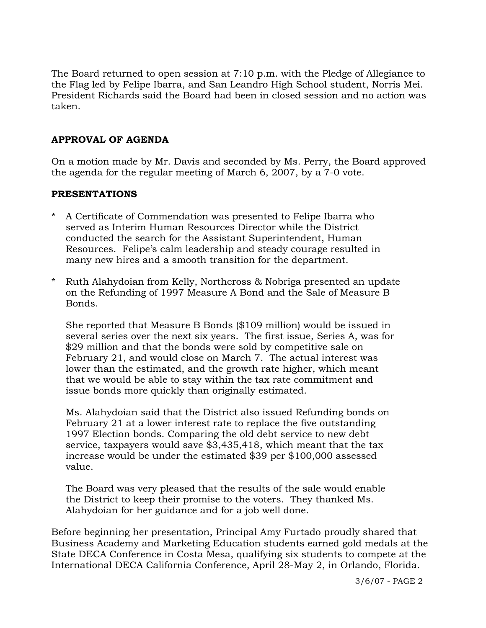The Board returned to open session at 7:10 p.m. with the Pledge of Allegiance to the Flag led by Felipe Ibarra, and San Leandro High School student, Norris Mei. President Richards said the Board had been in closed session and no action was taken.

# **APPROVAL OF AGENDA**

On a motion made by Mr. Davis and seconded by Ms. Perry, the Board approved the agenda for the regular meeting of March 6, 2007, by a 7-0 vote.

# **PRESENTATIONS**

- A Certificate of Commendation was presented to Felipe Ibarra who served as Interim Human Resources Director while the District conducted the search for the Assistant Superintendent, Human Resources. Felipe's calm leadership and steady courage resulted in many new hires and a smooth transition for the department.
- \* Ruth Alahydoian from Kelly, Northcross & Nobriga presented an update on the Refunding of 1997 Measure A Bond and the Sale of Measure B Bonds.

 She reported that Measure B Bonds (\$109 million) would be issued in several series over the next six years. The first issue, Series A, was for \$29 million and that the bonds were sold by competitive sale on February 21, and would close on March 7. The actual interest was lower than the estimated, and the growth rate higher, which meant that we would be able to stay within the tax rate commitment and issue bonds more quickly than originally estimated.

 Ms. Alahydoian said that the District also issued Refunding bonds on February 21 at a lower interest rate to replace the five outstanding 1997 Election bonds. Comparing the old debt service to new debt service, taxpayers would save \$3,435,418, which meant that the tax increase would be under the estimated \$39 per \$100,000 assessed value.

 The Board was very pleased that the results of the sale would enable the District to keep their promise to the voters. They thanked Ms. Alahydoian for her guidance and for a job well done.

Before beginning her presentation, Principal Amy Furtado proudly shared that Business Academy and Marketing Education students earned gold medals at the State DECA Conference in Costa Mesa, qualifying six students to compete at the International DECA California Conference, April 28-May 2, in Orlando, Florida.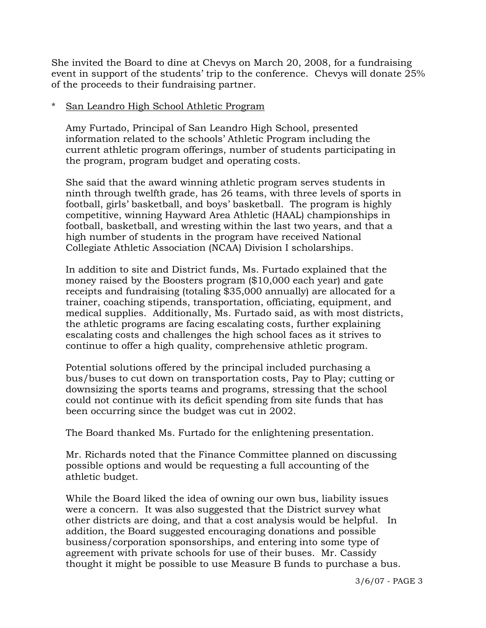She invited the Board to dine at Chevys on March 20, 2008, for a fundraising event in support of the students' trip to the conference. Chevys will donate 25% of the proceeds to their fundraising partner.

### San Leandro High School Athletic Program

 Amy Furtado, Principal of San Leandro High School, presented information related to the schools' Athletic Program including the current athletic program offerings, number of students participating in the program, program budget and operating costs.

 She said that the award winning athletic program serves students in ninth through twelfth grade, has 26 teams, with three levels of sports in football, girls' basketball, and boys' basketball. The program is highly competitive, winning Hayward Area Athletic (HAAL) championships in football, basketball, and wresting within the last two years, and that a high number of students in the program have received National Collegiate Athletic Association (NCAA) Division I scholarships.

 In addition to site and District funds, Ms. Furtado explained that the money raised by the Boosters program (\$10,000 each year) and gate receipts and fundraising (totaling \$35,000 annually) are allocated for a trainer, coaching stipends, transportation, officiating, equipment, and medical supplies. Additionally, Ms. Furtado said, as with most districts, the athletic programs are facing escalating costs, further explaining escalating costs and challenges the high school faces as it strives to continue to offer a high quality, comprehensive athletic program.

 Potential solutions offered by the principal included purchasing a bus/buses to cut down on transportation costs, Pay to Play; cutting or downsizing the sports teams and programs, stressing that the school could not continue with its deficit spending from site funds that has been occurring since the budget was cut in 2002.

The Board thanked Ms. Furtado for the enlightening presentation.

 Mr. Richards noted that the Finance Committee planned on discussing possible options and would be requesting a full accounting of the athletic budget.

 While the Board liked the idea of owning our own bus, liability issues were a concern. It was also suggested that the District survey what other districts are doing, and that a cost analysis would be helpful. In addition, the Board suggested encouraging donations and possible business/corporation sponsorships, and entering into some type of agreement with private schools for use of their buses. Mr. Cassidy thought it might be possible to use Measure B funds to purchase a bus.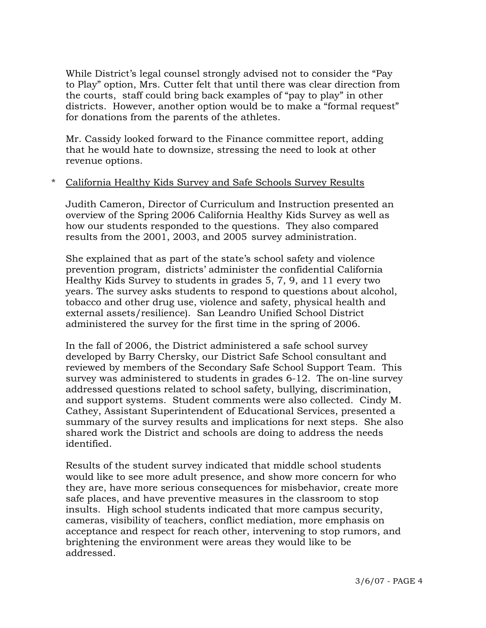While District's legal counsel strongly advised not to consider the "Pay to Play" option, Mrs. Cutter felt that until there was clear direction from the courts, staff could bring back examples of "pay to play" in other districts. However, another option would be to make a "formal request" for donations from the parents of the athletes.

 Mr. Cassidy looked forward to the Finance committee report, adding that he would hate to downsize, stressing the need to look at other revenue options.

#### \* California Healthy Kids Survey and Safe Schools Survey Results

Judith Cameron, Director of Curriculum and Instruction presented an overview of the Spring 2006 California Healthy Kids Survey as well as how our students responded to the questions. They also compared results from the 2001, 2003, and 2005 survey administration.

 She explained that as part of the state's school safety and violence prevention program, districts' administer the confidential California Healthy Kids Survey to students in grades 5, 7, 9, and 11 every two years. The survey asks students to respond to questions about alcohol, tobacco and other drug use, violence and safety, physical health and external assets/resilience). San Leandro Unified School District administered the survey for the first time in the spring of 2006.

 In the fall of 2006, the District administered a safe school survey developed by Barry Chersky, our District Safe School consultant and reviewed by members of the Secondary Safe School Support Team. This survey was administered to students in grades 6-12. The on-line survey addressed questions related to school safety, bullying, discrimination, and support systems. Student comments were also collected. Cindy M. Cathey, Assistant Superintendent of Educational Services, presented a summary of the survey results and implications for next steps. She also shared work the District and schools are doing to address the needs identified.

 Results of the student survey indicated that middle school students would like to see more adult presence, and show more concern for who they are, have more serious consequences for misbehavior, create more safe places, and have preventive measures in the classroom to stop insults. High school students indicated that more campus security, cameras, visibility of teachers, conflict mediation, more emphasis on acceptance and respect for reach other, intervening to stop rumors, and brightening the environment were areas they would like to be addressed.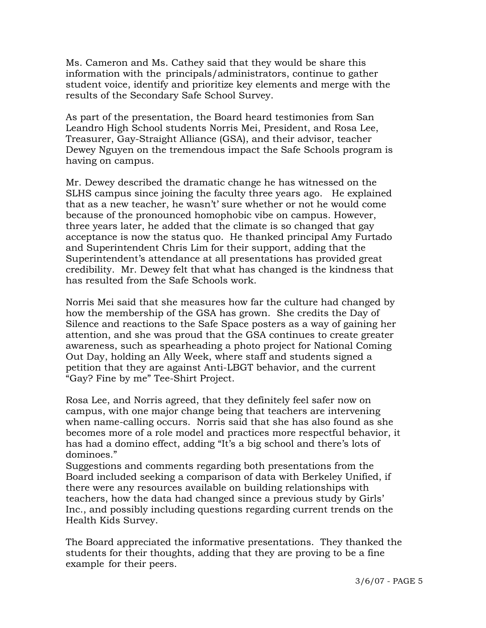Ms. Cameron and Ms. Cathey said that they would be share this information with the principals/administrators, continue to gather student voice, identify and prioritize key elements and merge with the results of the Secondary Safe School Survey.

 As part of the presentation, the Board heard testimonies from San Leandro High School students Norris Mei, President, and Rosa Lee, Treasurer, Gay-Straight Alliance (GSA), and their advisor, teacher Dewey Nguyen on the tremendous impact the Safe Schools program is having on campus.

 Mr. Dewey described the dramatic change he has witnessed on the SLHS campus since joining the faculty three years ago. He explained that as a new teacher, he wasn't' sure whether or not he would come because of the pronounced homophobic vibe on campus. However, three years later, he added that the climate is so changed that gay acceptance is now the status quo. He thanked principal Amy Furtado and Superintendent Chris Lim for their support, adding that the Superintendent's attendance at all presentations has provided great credibility. Mr. Dewey felt that what has changed is the kindness that has resulted from the Safe Schools work.

 Norris Mei said that she measures how far the culture had changed by how the membership of the GSA has grown. She credits the Day of Silence and reactions to the Safe Space posters as a way of gaining her attention, and she was proud that the GSA continues to create greater awareness, such as spearheading a photo project for National Coming Out Day, holding an Ally Week, where staff and students signed a petition that they are against Anti-LBGT behavior, and the current "Gay? Fine by me" Tee-Shirt Project.

 Rosa Lee, and Norris agreed, that they definitely feel safer now on campus, with one major change being that teachers are intervening when name-calling occurs. Norris said that she has also found as she becomes more of a role model and practices more respectful behavior, it has had a domino effect, adding "It's a big school and there's lots of dominoes."

 Suggestions and comments regarding both presentations from the Board included seeking a comparison of data with Berkeley Unified, if there were any resources available on building relationships with teachers, how the data had changed since a previous study by Girls' Inc., and possibly including questions regarding current trends on the Health Kids Survey.

 The Board appreciated the informative presentations. They thanked the students for their thoughts, adding that they are proving to be a fine example for their peers.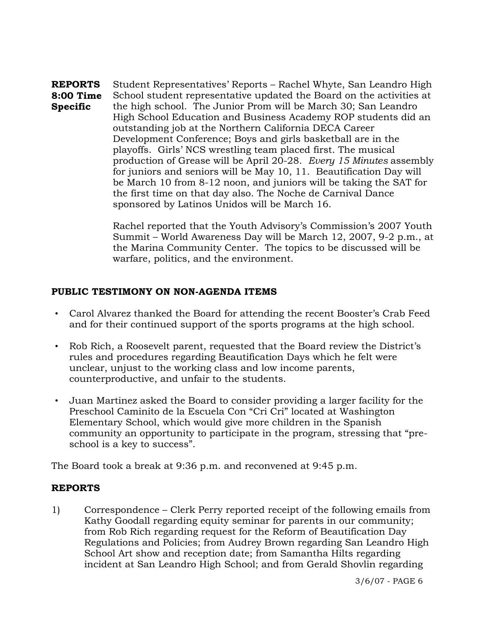**REPORTS 8:00 Time Specific**  Student Representatives' Reports – Rachel Whyte, San Leandro High School student representative updated the Board on the activities at the high school. The Junior Prom will be March 30; San Leandro High School Education and Business Academy ROP students did an outstanding job at the Northern California DECA Career Development Conference; Boys and girls basketball are in the playoffs. Girls' NCS wrestling team placed first. The musical production of Grease will be April 20-28. *Every 15 Minutes* assembly for juniors and seniors will be May 10, 11. Beautification Day will be March 10 from 8-12 noon, and juniors will be taking the SAT for the first time on that day also. The Noche de Carnival Dance sponsored by Latinos Unidos will be March 16.

> Rachel reported that the Youth Advisory's Commission's 2007 Youth Summit – World Awareness Day will be March 12, 2007, 9-2 p.m., at the Marina Community Center. The topics to be discussed will be warfare, politics, and the environment.

# **PUBLIC TESTIMONY ON NON-AGENDA ITEMS**

- Carol Alvarez thanked the Board for attending the recent Booster's Crab Feed and for their continued support of the sports programs at the high school.
- Rob Rich, a Roosevelt parent, requested that the Board review the District's rules and procedures regarding Beautification Days which he felt were unclear, unjust to the working class and low income parents, counterproductive, and unfair to the students.
- Juan Martinez asked the Board to consider providing a larger facility for the Preschool Caminito de la Escuela Con "Cri Cri" located at Washington Elementary School, which would give more children in the Spanish community an opportunity to participate in the program, stressing that "preschool is a key to success".

The Board took a break at 9:36 p.m. and reconvened at 9:45 p.m.

# **REPORTS**

1) Correspondence – Clerk Perry reported receipt of the following emails from Kathy Goodall regarding equity seminar for parents in our community; from Rob Rich regarding request for the Reform of Beautification Day Regulations and Policies; from Audrey Brown regarding San Leandro High School Art show and reception date; from Samantha Hilts regarding incident at San Leandro High School; and from Gerald Shovlin regarding

3/6/07 - PAGE 6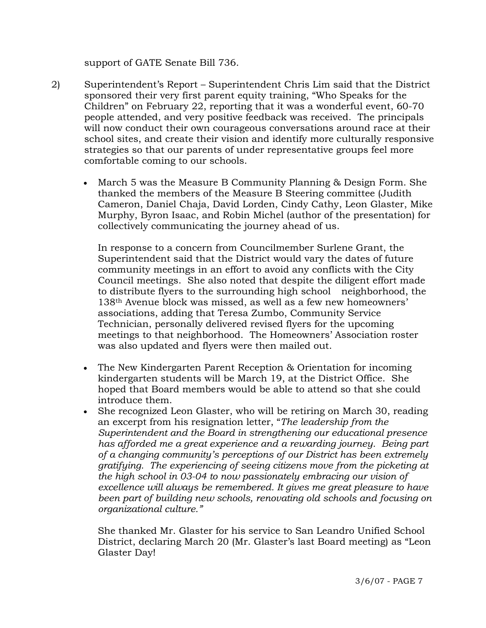support of GATE Senate Bill 736.

- 2) Superintendent's Report Superintendent Chris Lim said that the District sponsored their very first parent equity training, "Who Speaks for the Children" on February 22, reporting that it was a wonderful event, 60-70 people attended, and very positive feedback was received. The principals will now conduct their own courageous conversations around race at their school sites, and create their vision and identify more culturally responsive strategies so that our parents of under representative groups feel more comfortable coming to our schools.
	- March 5 was the Measure B Community Planning & Design Form. She thanked the members of the Measure B Steering committee (Judith Cameron, Daniel Chaja, David Lorden, Cindy Cathy, Leon Glaster, Mike Murphy, Byron Isaac, and Robin Michel (author of the presentation) for collectively communicating the journey ahead of us.

 In response to a concern from Councilmember Surlene Grant, the Superintendent said that the District would vary the dates of future community meetings in an effort to avoid any conflicts with the City Council meetings. She also noted that despite the diligent effort made to distribute flyers to the surrounding high school neighborhood, the 138th Avenue block was missed, as well as a few new homeowners' associations, adding that Teresa Zumbo, Community Service Technician, personally delivered revised flyers for the upcoming meetings to that neighborhood. The Homeowners' Association roster was also updated and flyers were then mailed out.

- The New Kindergarten Parent Reception & Orientation for incoming kindergarten students will be March 19, at the District Office. She hoped that Board members would be able to attend so that she could introduce them.
- She recognized Leon Glaster, who will be retiring on March 30, reading an excerpt from his resignation letter, "*The leadership from the Superintendent and the Board in strengthening our educational presence has afforded me a great experience and a rewarding journey. Being part of a changing community's perceptions of our District has been extremely gratifying. The experiencing of seeing citizens move from the picketing at the high school in 03-04 to now passionately embracing our vision of excellence will always be remembered. It gives me great pleasure to have been part of building new schools, renovating old schools and focusing on organizational culture."*

 She thanked Mr. Glaster for his service to San Leandro Unified School District, declaring March 20 (Mr. Glaster's last Board meeting) as "Leon Glaster Day!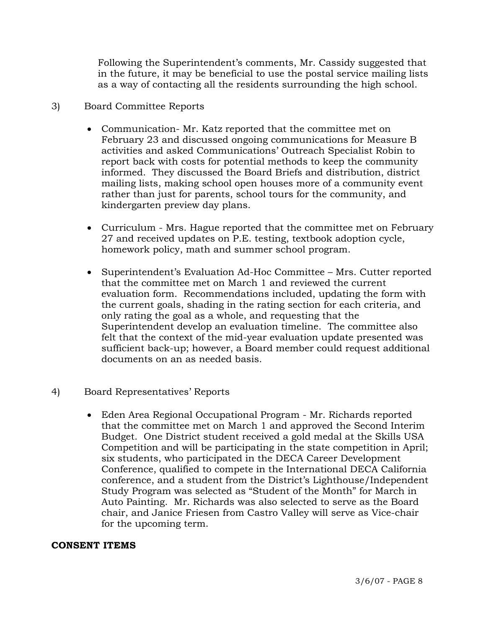Following the Superintendent's comments, Mr. Cassidy suggested that in the future, it may be beneficial to use the postal service mailing lists as a way of contacting all the residents surrounding the high school.

# 3) Board Committee Reports

- Communication- Mr. Katz reported that the committee met on February 23 and discussed ongoing communications for Measure B activities and asked Communications' Outreach Specialist Robin to report back with costs for potential methods to keep the community informed. They discussed the Board Briefs and distribution, district mailing lists, making school open houses more of a community event rather than just for parents, school tours for the community, and kindergarten preview day plans.
- Curriculum Mrs. Hague reported that the committee met on February 27 and received updates on P.E. testing, textbook adoption cycle, homework policy, math and summer school program.
- Superintendent's Evaluation Ad-Hoc Committee Mrs. Cutter reported that the committee met on March 1 and reviewed the current evaluation form. Recommendations included, updating the form with the current goals, shading in the rating section for each criteria, and only rating the goal as a whole, and requesting that the Superintendent develop an evaluation timeline. The committee also felt that the context of the mid-year evaluation update presented was sufficient back-up; however, a Board member could request additional documents on an as needed basis.
- 4) Board Representatives' Reports
	- Eden Area Regional Occupational Program Mr. Richards reported that the committee met on March 1 and approved the Second Interim Budget. One District student received a gold medal at the Skills USA Competition and will be participating in the state competition in April; six students, who participated in the DECA Career Development Conference, qualified to compete in the International DECA California conference, and a student from the District's Lighthouse/Independent Study Program was selected as "Student of the Month" for March in Auto Painting. Mr. Richards was also selected to serve as the Board chair, and Janice Friesen from Castro Valley will serve as Vice-chair for the upcoming term.

# **CONSENT ITEMS**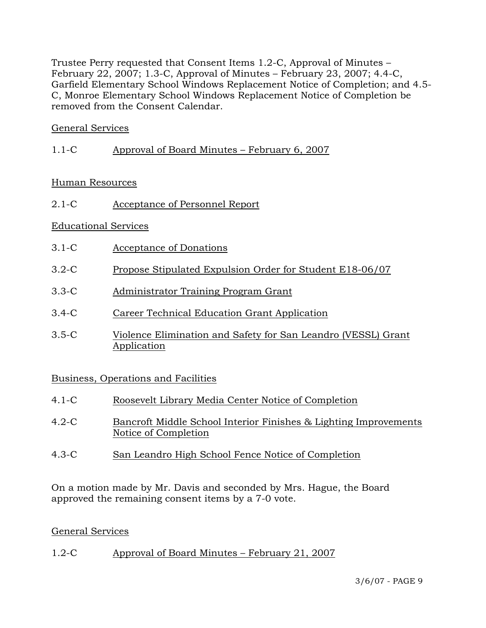Trustee Perry requested that Consent Items 1.2-C, Approval of Minutes – February 22, 2007; 1.3-C, Approval of Minutes – February 23, 2007; 4.4-C, Garfield Elementary School Windows Replacement Notice of Completion; and 4.5- C, Monroe Elementary School Windows Replacement Notice of Completion be removed from the Consent Calendar.

# General Services

1.1-C Approval of Board Minutes – February 6, 2007

# Human Resources

2.1-C Acceptance of Personnel Report

# Educational Services

- 3.1-C Acceptance of Donations
- 3.2-C Propose Stipulated Expulsion Order for Student E18-06/07
- 3.3-C Administrator Training Program Grant
- 3.4-C Career Technical Education Grant Application
- 3.5-C Violence Elimination and Safety for San Leandro (VESSL) Grant Application

# Business, Operations and Facilities

| 4.1-C | Roosevelt Library Media Center Notice of Completion                                      |
|-------|------------------------------------------------------------------------------------------|
| 4.2-C | Bancroft Middle School Interior Finishes & Lighting Improvements<br>Notice of Completion |
|       |                                                                                          |

4.3-C San Leandro High School Fence Notice of Completion

On a motion made by Mr. Davis and seconded by Mrs. Hague, the Board approved the remaining consent items by a 7-0 vote.

# General Services

1.2-C Approval of Board Minutes – February 21, 2007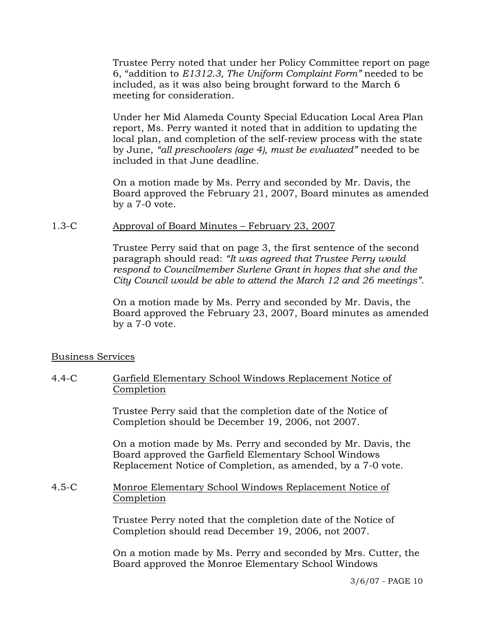Trustee Perry noted that under her Policy Committee report on page 6, "addition to *E1312.3, The Uniform Complaint Form"* needed to be included, as it was also being brought forward to the March 6 meeting for consideration.

Under her Mid Alameda County Special Education Local Area Plan report, Ms. Perry wanted it noted that in addition to updating the local plan, and completion of the self-review process with the state by June, *"all preschoolers (age 4), must be evaluated"* needed to be included in that June deadline.

On a motion made by Ms. Perry and seconded by Mr. Davis, the Board approved the February 21, 2007, Board minutes as amended by a 7-0 vote.

# 1.3-C Approval of Board Minutes – February 23, 2007

Trustee Perry said that on page 3, the first sentence of the second paragraph should read: *"It was agreed that Trustee Perry would respond to Councilmember Surlene Grant in hopes that she and the City Council would be able to attend the March 12 and 26 meetings"*.

On a motion made by Ms. Perry and seconded by Mr. Davis, the Board approved the February 23, 2007, Board minutes as amended by a 7-0 vote.

# Business Services

#### 4.4-C Garfield Elementary School Windows Replacement Notice of Completion

Trustee Perry said that the completion date of the Notice of Completion should be December 19, 2006, not 2007.

On a motion made by Ms. Perry and seconded by Mr. Davis, the Board approved the Garfield Elementary School Windows Replacement Notice of Completion, as amended, by a 7-0 vote.

#### 4.5-C Monroe Elementary School Windows Replacement Notice of Completion

Trustee Perry noted that the completion date of the Notice of Completion should read December 19, 2006, not 2007.

On a motion made by Ms. Perry and seconded by Mrs. Cutter, the Board approved the Monroe Elementary School Windows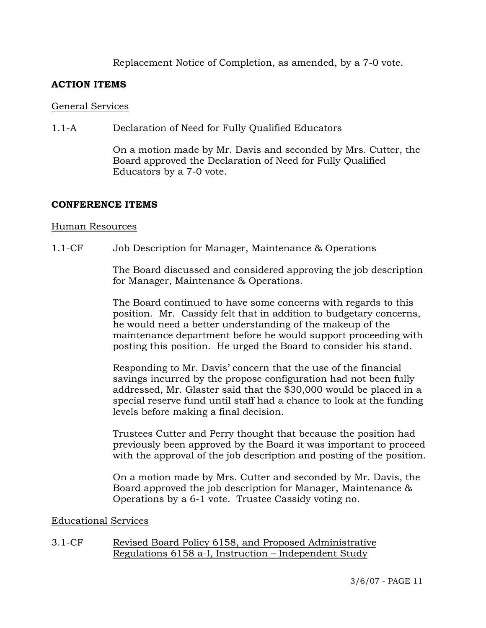# Replacement Notice of Completion, as amended, by a 7-0 vote.

#### **ACTION ITEMS**

#### General Services

#### 1.1-A Declaration of Need for Fully Qualified Educators

On a motion made by Mr. Davis and seconded by Mrs. Cutter, the Board approved the Declaration of Need for Fully Qualified Educators by a 7-0 vote.

#### **CONFERENCE ITEMS**

#### Human Resources

#### 1.1-CF Job Description for Manager, Maintenance & Operations

The Board discussed and considered approving the job description for Manager, Maintenance & Operations.

The Board continued to have some concerns with regards to this position. Mr. Cassidy felt that in addition to budgetary concerns, he would need a better understanding of the makeup of the maintenance department before he would support proceeding with posting this position. He urged the Board to consider his stand.

Responding to Mr. Davis' concern that the use of the financial savings incurred by the propose configuration had not been fully addressed, Mr. Glaster said that the \$30,000 would be placed in a special reserve fund until staff had a chance to look at the funding levels before making a final decision.

Trustees Cutter and Perry thought that because the position had previously been approved by the Board it was important to proceed with the approval of the job description and posting of the position.

On a motion made by Mrs. Cutter and seconded by Mr. Davis, the Board approved the job description for Manager, Maintenance & Operations by a 6-1 vote. Trustee Cassidy voting no.

#### Educational Services

3.1-CF Revised Board Policy 6158, and Proposed Administrative Regulations 6158 a-I, Instruction – Independent Study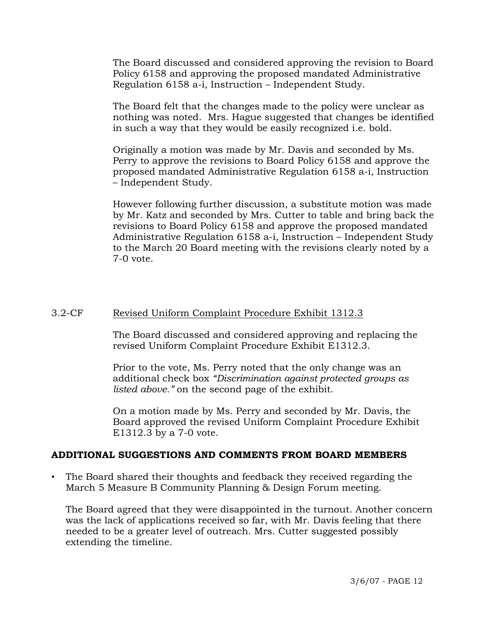The Board discussed and considered approving the revision to Board Policy 6158 and approving the proposed mandated Administrative Regulation 6158 a-i, Instruction – Independent Study.

The Board felt that the changes made to the policy were unclear as nothing was noted. Mrs. Hague suggested that changes be identified in such a way that they would be easily recognized i.e. bold.

Originally a motion was made by Mr. Davis and seconded by Ms. Perry to approve the revisions to Board Policy 6158 and approve the proposed mandated Administrative Regulation 6158 a-i, Instruction – Independent Study.

However following further discussion, a substitute motion was made by Mr. Katz and seconded by Mrs. Cutter to table and bring back the revisions to Board Policy 6158 and approve the proposed mandated Administrative Regulation 6158 a-i, Instruction – Independent Study to the March 20 Board meeting with the revisions clearly noted by a 7-0 vote.

### 3.2-CF Revised Uniform Complaint Procedure Exhibit 1312.3

The Board discussed and considered approving and replacing the revised Uniform Complaint Procedure Exhibit E1312.3.

Prior to the vote, Ms. Perry noted that the only change was an additional check box *"Discrimination against protected groups as listed above."* on the second page of the exhibit.

On a motion made by Ms. Perry and seconded by Mr. Davis, the Board approved the revised Uniform Complaint Procedure Exhibit E1312.3 by a 7-0 vote.

#### **ADDITIONAL SUGGESTIONS AND COMMENTS FROM BOARD MEMBERS**

• The Board shared their thoughts and feedback they received regarding the March 5 Measure B Community Planning & Design Forum meeting.

 The Board agreed that they were disappointed in the turnout. Another concern was the lack of applications received so far, with Mr. Davis feeling that there needed to be a greater level of outreach. Mrs. Cutter suggested possibly extending the timeline.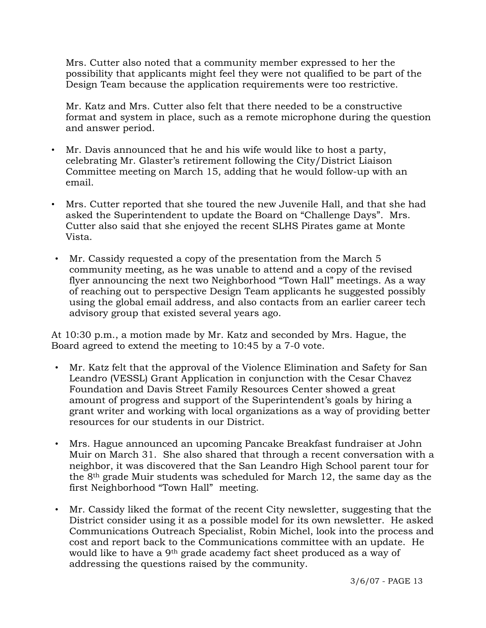Mrs. Cutter also noted that a community member expressed to her the possibility that applicants might feel they were not qualified to be part of the Design Team because the application requirements were too restrictive.

 Mr. Katz and Mrs. Cutter also felt that there needed to be a constructive format and system in place, such as a remote microphone during the question and answer period.

- Mr. Davis announced that he and his wife would like to host a party, celebrating Mr. Glaster's retirement following the City/District Liaison Committee meeting on March 15, adding that he would follow-up with an email.
- Mrs. Cutter reported that she toured the new Juvenile Hall, and that she had asked the Superintendent to update the Board on "Challenge Days". Mrs. Cutter also said that she enjoyed the recent SLHS Pirates game at Monte Vista.
- Mr. Cassidy requested a copy of the presentation from the March 5 community meeting, as he was unable to attend and a copy of the revised flyer announcing the next two Neighborhood "Town Hall" meetings. As a way of reaching out to perspective Design Team applicants he suggested possibly using the global email address, and also contacts from an earlier career tech advisory group that existed several years ago.

At 10:30 p.m., a motion made by Mr. Katz and seconded by Mrs. Hague, the Board agreed to extend the meeting to 10:45 by a 7-0 vote.

- Mr. Katz felt that the approval of the Violence Elimination and Safety for San Leandro (VESSL) Grant Application in conjunction with the Cesar Chavez Foundation and Davis Street Family Resources Center showed a great amount of progress and support of the Superintendent's goals by hiring a grant writer and working with local organizations as a way of providing better resources for our students in our District.
- Mrs. Hague announced an upcoming Pancake Breakfast fundraiser at John Muir on March 31. She also shared that through a recent conversation with a neighbor, it was discovered that the San Leandro High School parent tour for the 8th grade Muir students was scheduled for March 12, the same day as the first Neighborhood "Town Hall" meeting.
- Mr. Cassidy liked the format of the recent City newsletter, suggesting that the District consider using it as a possible model for its own newsletter. He asked Communications Outreach Specialist, Robin Michel, look into the process and cost and report back to the Communications committee with an update. He would like to have a 9th grade academy fact sheet produced as a way of addressing the questions raised by the community.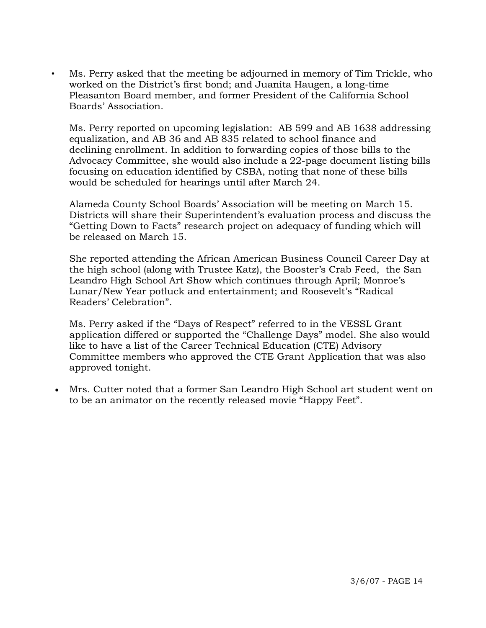• Ms. Perry asked that the meeting be adjourned in memory of Tim Trickle, who worked on the District's first bond; and Juanita Haugen, a long-time Pleasanton Board member, and former President of the California School Boards' Association.

 Ms. Perry reported on upcoming legislation: AB 599 and AB 1638 addressing equalization, and AB 36 and AB 835 related to school finance and declining enrollment. In addition to forwarding copies of those bills to the Advocacy Committee, she would also include a 22-page document listing bills focusing on education identified by CSBA, noting that none of these bills would be scheduled for hearings until after March 24.

 Alameda County School Boards' Association will be meeting on March 15. Districts will share their Superintendent's evaluation process and discuss the "Getting Down to Facts" research project on adequacy of funding which will be released on March 15.

 She reported attending the African American Business Council Career Day at the high school (along with Trustee Katz), the Booster's Crab Feed, the San Leandro High School Art Show which continues through April; Monroe's Lunar/New Year potluck and entertainment; and Roosevelt's "Radical Readers' Celebration".

 Ms. Perry asked if the "Days of Respect" referred to in the VESSL Grant application differed or supported the "Challenge Days" model. She also would like to have a list of the Career Technical Education (CTE) Advisory Committee members who approved the CTE Grant Application that was also approved tonight.

• Mrs. Cutter noted that a former San Leandro High School art student went on to be an animator on the recently released movie "Happy Feet".